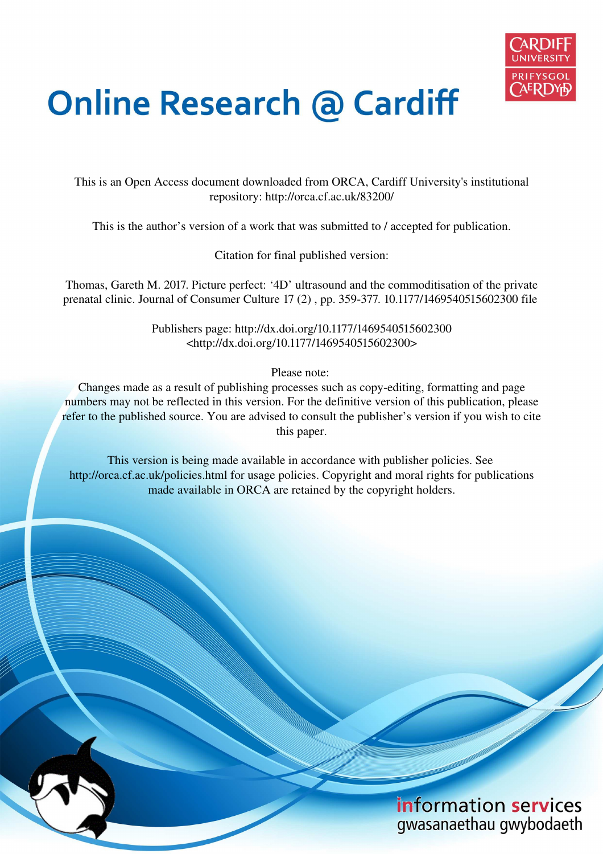

# **Online Research @ Cardiff**

This is an Open Access document downloaded from ORCA, Cardiff University's institutional repository: http://orca.cf.ac.uk/83200/

This is the author's version of a work that was submitted to / accepted for publication.

Citation for final published version:

Thomas, Gareth M. 2017. Picture perfect: '4D' ultrasound and the commoditisation of the private prenatal clinic. Journal of Consumer Culture 17 (2) , pp. 359-377. 10.1177/1469540515602300 file

> Publishers page: http://dx.doi.org/10.1177/1469540515602300 <http://dx.doi.org/10.1177/1469540515602300>

> > Please note:

Changes made as a result of publishing processes such as copy-editing, formatting and page numbers may not be reflected in this version. For the definitive version of this publication, please refer to the published source. You are advised to consult the publisher's version if you wish to cite this paper.

This version is being made available in accordance with publisher policies. See http://orca.cf.ac.uk/policies.html for usage policies. Copyright and moral rights for publications made available in ORCA are retained by the copyright holders.

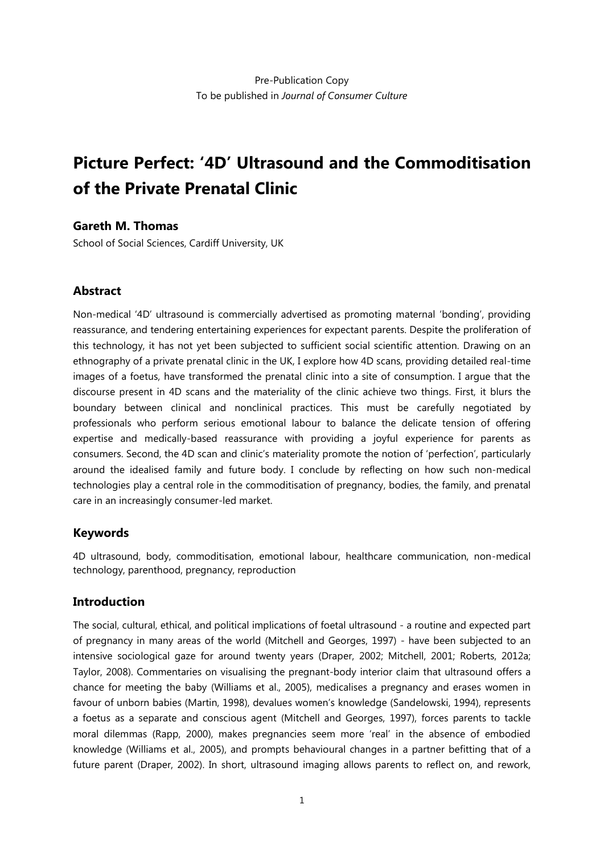# **Picture Perfect: '4D' Ultrasound and the Commoditisation of the Private Prenatal Clinic**

### **Gareth M. Thomas**

School of Social Sciences, Cardiff University, UK

# **Abstract**

Non-medical '4D' ultrasound is commercially advertised as promoting maternal 'bonding', providing reassurance, and tendering entertaining experiences for expectant parents. Despite the proliferation of this technology, it has not yet been subjected to sufficient social scientific attention. Drawing on an ethnography of a private prenatal clinic in the UK, I explore how 4D scans, providing detailed real-time images of a foetus, have transformed the prenatal clinic into a site of consumption. I argue that the discourse present in 4D scans and the materiality of the clinic achieve two things. First, it blurs the boundary between clinical and nonclinical practices. This must be carefully negotiated by professionals who perform serious emotional labour to balance the delicate tension of offering expertise and medically-based reassurance with providing a joyful experience for parents as consumers. Second, the 4D scan and clinic's materiality promote the notion of 'perfection', particularly around the idealised family and future body. I conclude by reflecting on how such non-medical technologies play a central role in the commoditisation of pregnancy, bodies, the family, and prenatal care in an increasingly consumer-led market.

# **Keywords**

4D ultrasound, body, commoditisation, emotional labour, healthcare communication, non-medical technology, parenthood, pregnancy, reproduction

# **Introduction**

The social, cultural, ethical, and political implications of foetal ultrasound - a routine and expected part of pregnancy in many areas of the world (Mitchell and Georges, 1997) - have been subjected to an intensive sociological gaze for around twenty years (Draper, 2002; Mitchell, 2001; Roberts, 2012a; Taylor, 2008). Commentaries on visualising the pregnant-body interior claim that ultrasound offers a chance for meeting the baby (Williams et al., 2005), medicalises a pregnancy and erases women in favour of unborn babies (Martin, 1998), devalues women's knowledge (Sandelowski, 1994), represents a foetus as a separate and conscious agent (Mitchell and Georges, 1997), forces parents to tackle moral dilemmas (Rapp, 2000), makes pregnancies seem more 'real' in the absence of embodied knowledge (Williams et al., 2005), and prompts behavioural changes in a partner befitting that of a future parent (Draper, 2002). In short, ultrasound imaging allows parents to reflect on, and rework,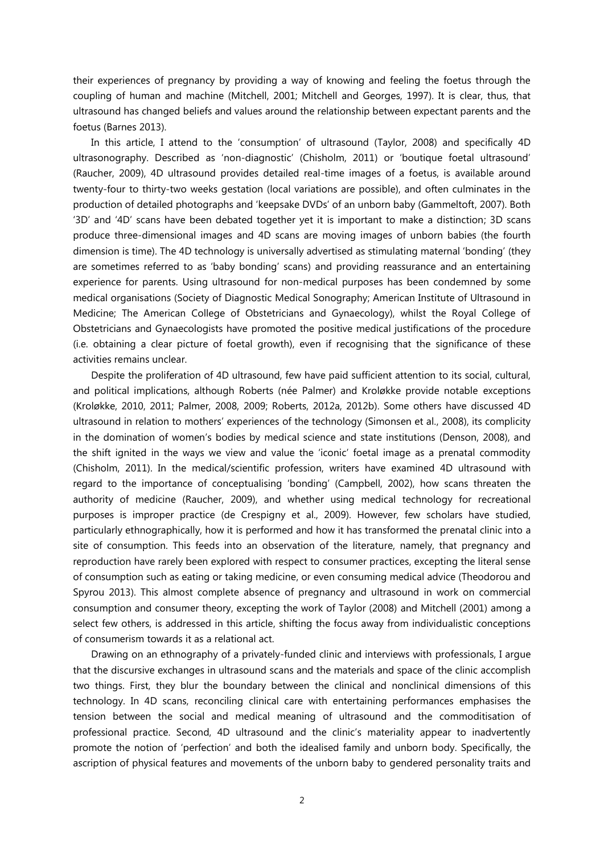their experiences of pregnancy by providing a way of knowing and feeling the foetus through the coupling of human and machine (Mitchell, 2001; Mitchell and Georges, 1997). It is clear, thus, that ultrasound has changed beliefs and values around the relationship between expectant parents and the foetus (Barnes 2013).

In this article, I attend to the 'consumption' of ultrasound (Taylor, 2008) and specifically 4D ultrasonography. Described as 'non-diagnostic' (Chisholm, 2011) or 'boutique foetal ultrasound' (Raucher, 2009), 4D ultrasound provides detailed real-time images of a foetus, is available around twenty-four to thirty-two weeks gestation (local variations are possible), and often culminates in the production of detailed photographs and 'keepsake DVDs' of an unborn baby (Gammeltoft, 2007). Both '3D' and '4D' scans have been debated together yet it is important to make a distinction; 3D scans produce three-dimensional images and 4D scans are moving images of unborn babies (the fourth dimension is time). The 4D technology is universally advertised as stimulating maternal 'bonding' (they are sometimes referred to as 'baby bonding' scans) and providing reassurance and an entertaining experience for parents. Using ultrasound for non-medical purposes has been condemned by some medical organisations (Society of Diagnostic Medical Sonography; American Institute of Ultrasound in Medicine; The American College of Obstetricians and Gynaecology), whilst the Royal College of Obstetricians and Gynaecologists have promoted the positive medical justifications of the procedure (i.e. obtaining a clear picture of foetal growth), even if recognising that the significance of these activities remains unclear.

Despite the proliferation of 4D ultrasound, few have paid sufficient attention to its social, cultural, and political implications, although Roberts (née Palmer) and Kroløkke provide notable exceptions (Kroløkke, 2010, 2011; Palmer, 2008, 2009; Roberts, 2012a, 2012b). Some others have discussed 4D ultrasound in relation to mothers' experiences of the technology (Simonsen et al., 2008), its complicity in the domination of women's bodies by medical science and state institutions (Denson, 2008), and the shift ignited in the ways we view and value the 'iconic' foetal image as a prenatal commodity (Chisholm, 2011). In the medical/scientific profession, writers have examined 4D ultrasound with regard to the importance of conceptualising 'bonding' (Campbell, 2002), how scans threaten the authority of medicine (Raucher, 2009), and whether using medical technology for recreational purposes is improper practice (de Crespigny et al., 2009). However, few scholars have studied, particularly ethnographically, how it is performed and how it has transformed the prenatal clinic into a site of consumption. This feeds into an observation of the literature, namely, that pregnancy and reproduction have rarely been explored with respect to consumer practices, excepting the literal sense of consumption such as eating or taking medicine, or even consuming medical advice (Theodorou and Spyrou 2013). This almost complete absence of pregnancy and ultrasound in work on commercial consumption and consumer theory, excepting the work of Taylor (2008) and Mitchell (2001) among a select few others, is addressed in this article, shifting the focus away from individualistic conceptions of consumerism towards it as a relational act.

Drawing on an ethnography of a privately-funded clinic and interviews with professionals, I argue that the discursive exchanges in ultrasound scans and the materials and space of the clinic accomplish two things. First, they blur the boundary between the clinical and nonclinical dimensions of this technology. In 4D scans, reconciling clinical care with entertaining performances emphasises the tension between the social and medical meaning of ultrasound and the commoditisation of professional practice. Second, 4D ultrasound and the clinic's materiality appear to inadvertently promote the notion of 'perfection' and both the idealised family and unborn body. Specifically, the ascription of physical features and movements of the unborn baby to gendered personality traits and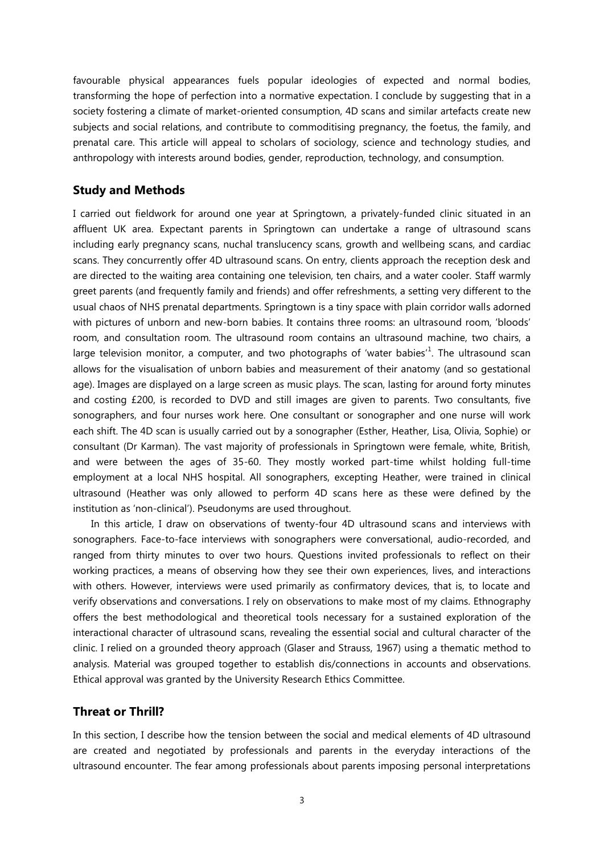favourable physical appearances fuels popular ideologies of expected and normal bodies, transforming the hope of perfection into a normative expectation. I conclude by suggesting that in a society fostering a climate of market-oriented consumption, 4D scans and similar artefacts create new subjects and social relations, and contribute to commoditising pregnancy, the foetus, the family, and prenatal care. This article will appeal to scholars of sociology, science and technology studies, and anthropology with interests around bodies, gender, reproduction, technology, and consumption.

#### **Study and Methods**

I carried out fieldwork for around one year at Springtown, a privately-funded clinic situated in an affluent UK area. Expectant parents in Springtown can undertake a range of ultrasound scans including early pregnancy scans, nuchal translucency scans, growth and wellbeing scans, and cardiac scans. They concurrently offer 4D ultrasound scans. On entry, clients approach the reception desk and are directed to the waiting area containing one television, ten chairs, and a water cooler. Staff warmly greet parents (and frequently family and friends) and offer refreshments, a setting very different to the usual chaos of NHS prenatal departments. Springtown is a tiny space with plain corridor walls adorned with pictures of unborn and new-born babies. It contains three rooms: an ultrasound room, 'bloods' room, and consultation room. The ultrasound room contains an ultrasound machine, two chairs, a large television monitor, a computer, and two photographs of 'water babies'<sup>1</sup>. The ultrasound scan allows for the visualisation of unborn babies and measurement of their anatomy (and so gestational age). Images are displayed on a large screen as music plays. The scan, lasting for around forty minutes and costing £200, is recorded to DVD and still images are given to parents. Two consultants, five sonographers, and four nurses work here. One consultant or sonographer and one nurse will work each shift. The 4D scan is usually carried out by a sonographer (Esther, Heather, Lisa, Olivia, Sophie) or consultant (Dr Karman). The vast majority of professionals in Springtown were female, white, British, and were between the ages of 35-60. They mostly worked part-time whilst holding full-time employment at a local NHS hospital. All sonographers, excepting Heather, were trained in clinical ultrasound (Heather was only allowed to perform 4D scans here as these were defined by the institution as 'non-clinical'). Pseudonyms are used throughout.

In this article, I draw on observations of twenty-four 4D ultrasound scans and interviews with sonographers. Face-to-face interviews with sonographers were conversational, audio-recorded, and ranged from thirty minutes to over two hours. Questions invited professionals to reflect on their working practices, a means of observing how they see their own experiences, lives, and interactions with others. However, interviews were used primarily as confirmatory devices, that is, to locate and verify observations and conversations. I rely on observations to make most of my claims. Ethnography offers the best methodological and theoretical tools necessary for a sustained exploration of the interactional character of ultrasound scans, revealing the essential social and cultural character of the clinic. I relied on a grounded theory approach (Glaser and Strauss, 1967) using a thematic method to analysis. Material was grouped together to establish dis/connections in accounts and observations. Ethical approval was granted by the University Research Ethics Committee.

#### **Threat or Thrill?**

In this section, I describe how the tension between the social and medical elements of 4D ultrasound are created and negotiated by professionals and parents in the everyday interactions of the ultrasound encounter. The fear among professionals about parents imposing personal interpretations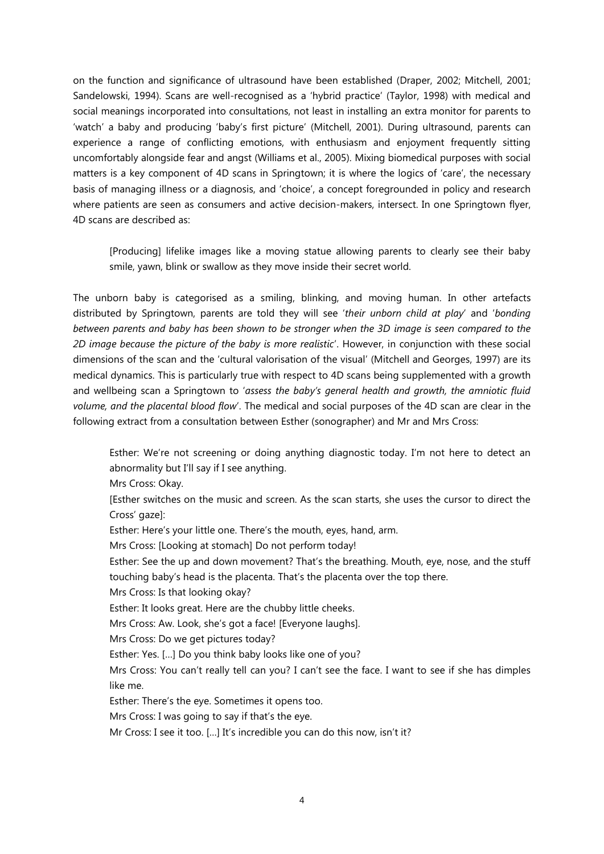on the function and significance of ultrasound have been established (Draper, 2002; Mitchell, 2001; Sandelowski, 1994). Scans are well-recognised as a 'hybrid practice' (Taylor, 1998) with medical and social meanings incorporated into consultations, not least in installing an extra monitor for parents to 'watch' a baby and producing 'baby's first picture' (Mitchell, 2001). During ultrasound, parents can experience a range of conflicting emotions, with enthusiasm and enjoyment frequently sitting uncomfortably alongside fear and angst (Williams et al., 2005). Mixing biomedical purposes with social matters is a key component of 4D scans in Springtown; it is where the logics of 'care', the necessary basis of managing illness or a diagnosis, and 'choice', a concept foregrounded in policy and research where patients are seen as consumers and active decision-makers, intersect. In one Springtown flyer, 4D scans are described as:

[Producing] lifelike images like a moving statue allowing parents to clearly see their baby smile, yawn, blink or swallow as they move inside their secret world.

The unborn baby is categorised as a smiling, blinking, and moving human. In other artefacts distributed by Springtown, parents are told they will see '*their unborn child at play*' and '*bonding between parents and baby has been shown to be stronger when the 3D image is seen compared to the 2D image because the picture of the baby is more realistic*'. However, in conjunction with these social dimensions of the scan and the 'cultural valorisation of the visual' (Mitchell and Georges, 1997) are its medical dynamics. This is particularly true with respect to 4D scans being supplemented with a growth and wellbeing scan a Springtown to '*assess the baby's general health and growth, the amniotic fluid volume, and the placental blood flow*'. The medical and social purposes of the 4D scan are clear in the following extract from a consultation between Esther (sonographer) and Mr and Mrs Cross:

Esther: We're not screening or doing anything diagnostic today. I'm not here to detect an abnormality but I'll say if I see anything.

Mrs Cross: Okay.

[Esther switches on the music and screen. As the scan starts, she uses the cursor to direct the Cross' gaze]:

Esther: Here's your little one. There's the mouth, eyes, hand, arm.

Mrs Cross: [Looking at stomach] Do not perform today!

Esther: See the up and down movement? That's the breathing. Mouth, eye, nose, and the stuff touching baby's head is the placenta. That's the placenta over the top there.

Mrs Cross: Is that looking okay?

Esther: It looks great. Here are the chubby little cheeks.

Mrs Cross: Aw. Look, she's got a face! [Everyone laughs].

Mrs Cross: Do we get pictures today?

Esther: Yes. […] Do you think baby looks like one of you?

Mrs Cross: You can't really tell can you? I can't see the face. I want to see if she has dimples like me.

Esther: There's the eye. Sometimes it opens too.

Mrs Cross: I was going to say if that's the eye.

Mr Cross: I see it too. […] It's incredible you can do this now, isn't it?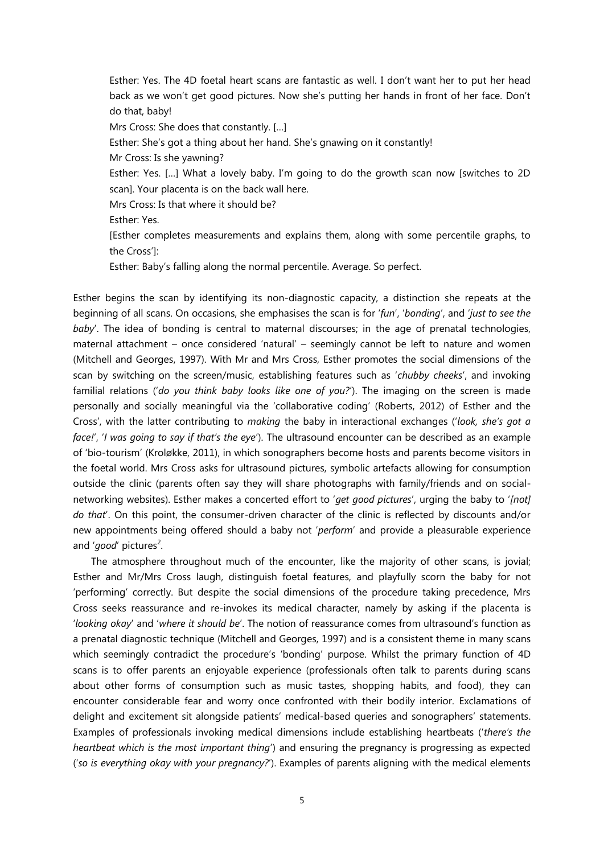Esther: Yes. The 4D foetal heart scans are fantastic as well. I don't want her to put her head back as we won't get good pictures. Now she's putting her hands in front of her face. Don't do that, baby! Mrs Cross: She does that constantly. […] Esther: She's got a thing about her hand. She's gnawing on it constantly! Mr Cross: Is she yawning? Esther: Yes. […] What a lovely baby. I'm going to do the growth scan now [switches to 2D scan]. Your placenta is on the back wall here. Mrs Cross: Is that where it should be? Esther: Yes. [Esther completes measurements and explains them, along with some percentile graphs, to the Cross']:

Esther: Baby's falling along the normal percentile. Average. So perfect.

Esther begins the scan by identifying its non-diagnostic capacity, a distinction she repeats at the beginning of all scans. On occasions, she emphasises the scan is for '*fun*', '*bonding*', and '*just to see the baby*'. The idea of bonding is central to maternal discourses; in the age of prenatal technologies, maternal attachment – once considered 'natural' – seemingly cannot be left to nature and women (Mitchell and Georges, 1997). With Mr and Mrs Cross, Esther promotes the social dimensions of the scan by switching on the screen/music, establishing features such as '*chubby cheeks*', and invoking familial relations ('*do you think baby looks like one of you?*'). The imaging on the screen is made personally and socially meaningful via the 'collaborative coding' (Roberts, 2012) of Esther and the Cross', with the latter contributing to *making* the baby in interactional exchanges ('*look, she's got a face!*', '*I was going to say if that's the eye*'). The ultrasound encounter can be described as an example of 'bio-tourism' (Kroløkke, 2011), in which sonographers become hosts and parents become visitors in the foetal world. Mrs Cross asks for ultrasound pictures, symbolic artefacts allowing for consumption outside the clinic (parents often say they will share photographs with family/friends and on socialnetworking websites). Esther makes a concerted effort to '*get good pictures*', urging the baby to '*[not] do that*'. On this point, the consumer-driven character of the clinic is reflected by discounts and/or new appointments being offered should a baby not '*perform*' and provide a pleasurable experience and 'good' pictures<sup>2</sup>.

The atmosphere throughout much of the encounter, like the majority of other scans, is jovial; Esther and Mr/Mrs Cross laugh, distinguish foetal features, and playfully scorn the baby for not 'performing' correctly. But despite the social dimensions of the procedure taking precedence, Mrs Cross seeks reassurance and re-invokes its medical character, namely by asking if the placenta is '*looking okay*' and '*where it should be*'. The notion of reassurance comes from ultrasound's function as a prenatal diagnostic technique (Mitchell and Georges, 1997) and is a consistent theme in many scans which seemingly contradict the procedure's 'bonding' purpose. Whilst the primary function of 4D scans is to offer parents an enjoyable experience (professionals often talk to parents during scans about other forms of consumption such as music tastes, shopping habits, and food), they can encounter considerable fear and worry once confronted with their bodily interior. Exclamations of delight and excitement sit alongside patients' medical-based queries and sonographers' statements. Examples of professionals invoking medical dimensions include establishing heartbeats ('*there's the heartbeat which is the most important thing*') and ensuring the pregnancy is progressing as expected ('*so is everything okay with your pregnancy?*'). Examples of parents aligning with the medical elements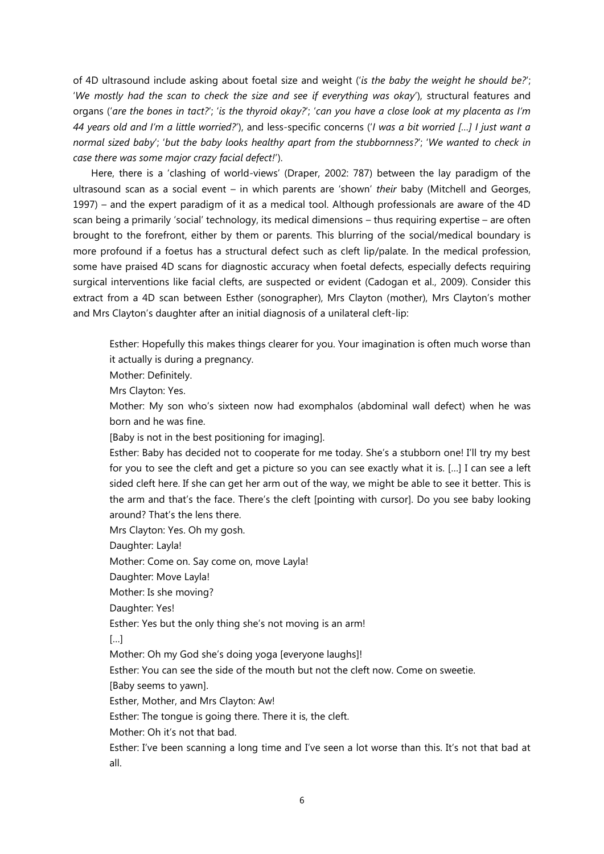of 4D ultrasound include asking about foetal size and weight ('*is the baby the weight he should be?*'; '*We mostly had the scan to check the size and see if everything was okay*'), structural features and organs ('*are the bones in tact?*'; '*is the thyroid okay?*'; '*can you have a close look at my placenta as I'm 44 years old and I'm a little worried?*'), and less-specific concerns ('*I was a bit worried […] I just want a normal sized baby*'; '*but the baby looks healthy apart from the stubbornness?*'; '*We wanted to check in case there was some major crazy facial defect!*').

Here, there is a 'clashing of world-views' (Draper, 2002: 787) between the lay paradigm of the ultrasound scan as a social event – in which parents are 'shown' *their* baby (Mitchell and Georges, 1997) – and the expert paradigm of it as a medical tool. Although professionals are aware of the 4D scan being a primarily 'social' technology, its medical dimensions – thus requiring expertise – are often brought to the forefront, either by them or parents. This blurring of the social/medical boundary is more profound if a foetus has a structural defect such as cleft lip/palate. In the medical profession, some have praised 4D scans for diagnostic accuracy when foetal defects, especially defects requiring surgical interventions like facial clefts, are suspected or evident (Cadogan et al., 2009). Consider this extract from a 4D scan between Esther (sonographer), Mrs Clayton (mother), Mrs Clayton's mother and Mrs Clayton's daughter after an initial diagnosis of a unilateral cleft-lip:

Esther: Hopefully this makes things clearer for you. Your imagination is often much worse than it actually is during a pregnancy.

Mother: Definitely.

Mrs Clayton: Yes.

Mother: My son who's sixteen now had exomphalos (abdominal wall defect) when he was born and he was fine.

[Baby is not in the best positioning for imaging].

Esther: Baby has decided not to cooperate for me today. She's a stubborn one! I'll try my best for you to see the cleft and get a picture so you can see exactly what it is. […] I can see a left sided cleft here. If she can get her arm out of the way, we might be able to see it better. This is the arm and that's the face. There's the cleft [pointing with cursor]. Do you see baby looking around? That's the lens there.

Mrs Clayton: Yes. Oh my gosh.

Daughter: Layla!

Mother: Come on. Say come on, move Layla!

Daughter: Move Layla!

Mother: Is she moving?

Daughter: Yes!

Esther: Yes but the only thing she's not moving is an arm!

[…]

Mother: Oh my God she's doing yoga [everyone laughs]!

Esther: You can see the side of the mouth but not the cleft now. Come on sweetie.

[Baby seems to yawn].

Esther, Mother, and Mrs Clayton: Aw!

Esther: The tongue is going there. There it is, the cleft.

Mother: Oh it's not that bad.

Esther: I've been scanning a long time and I've seen a lot worse than this. It's not that bad at all.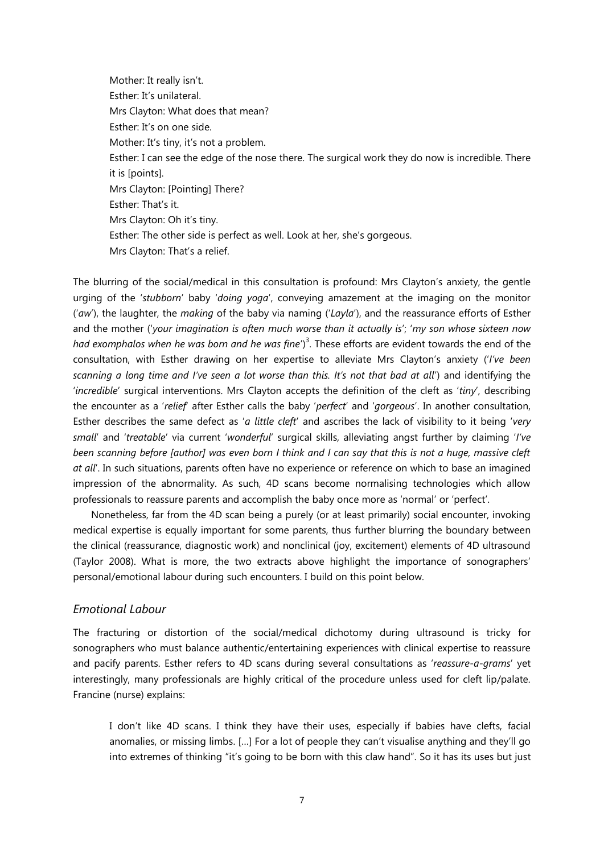Mother: It really isn't. Esther: It's unilateral. Mrs Clayton: What does that mean? Esther: It's on one side. Mother: It's tiny, it's not a problem. Esther: I can see the edge of the nose there. The surgical work they do now is incredible. There it is [points]. Mrs Clayton: [Pointing] There? Esther: That's it. Mrs Clayton: Oh it's tiny. Esther: The other side is perfect as well. Look at her, she's gorgeous. Mrs Clayton: That's a relief.

The blurring of the social/medical in this consultation is profound: Mrs Clayton's anxiety, the gentle urging of the '*stubborn*' baby '*doing yoga*', conveying amazement at the imaging on the monitor ('*aw*'), the laughter, the *making* of the baby via naming ('*Layla*'), and the reassurance efforts of Esther and the mother ('*your imagination is often much worse than it actually is*'; '*my son whose sixteen now had exomphalos when he was born and he was fine*') 3 . These efforts are evident towards the end of the consultation, with Esther drawing on her expertise to alleviate Mrs Clayton's anxiety ('*I've been scanning a long time and I've seen a lot worse than this. It's not that bad at all*') and identifying the '*incredible*' surgical interventions. Mrs Clayton accepts the definition of the cleft as '*tiny*', describing the encounter as a '*relief*' after Esther calls the baby '*perfect*' and '*gorgeous*'. In another consultation, Esther describes the same defect as '*a little cleft*' and ascribes the lack of visibility to it being '*very small*' and '*treatable*' via current '*wonderful*' surgical skills, alleviating angst further by claiming '*I've been scanning before [author] was even born I think and I can say that this is not a huge, massive cleft at all*'. In such situations, parents often have no experience or reference on which to base an imagined impression of the abnormality. As such, 4D scans become normalising technologies which allow professionals to reassure parents and accomplish the baby once more as 'normal' or 'perfect'.

Nonetheless, far from the 4D scan being a purely (or at least primarily) social encounter, invoking medical expertise is equally important for some parents, thus further blurring the boundary between the clinical (reassurance, diagnostic work) and nonclinical (joy, excitement) elements of 4D ultrasound (Taylor 2008). What is more, the two extracts above highlight the importance of sonographers' personal/emotional labour during such encounters. I build on this point below.

#### *Emotional Labour*

The fracturing or distortion of the social/medical dichotomy during ultrasound is tricky for sonographers who must balance authentic/entertaining experiences with clinical expertise to reassure and pacify parents. Esther refers to 4D scans during several consultations as '*reassure-a-grams*' yet interestingly, many professionals are highly critical of the procedure unless used for cleft lip/palate. Francine (nurse) explains:

I don't like 4D scans. I think they have their uses, especially if babies have clefts, facial anomalies, or missing limbs. […] For a lot of people they can't visualise anything and they'll go into extremes of thinking "it's going to be born with this claw hand". So it has its uses but just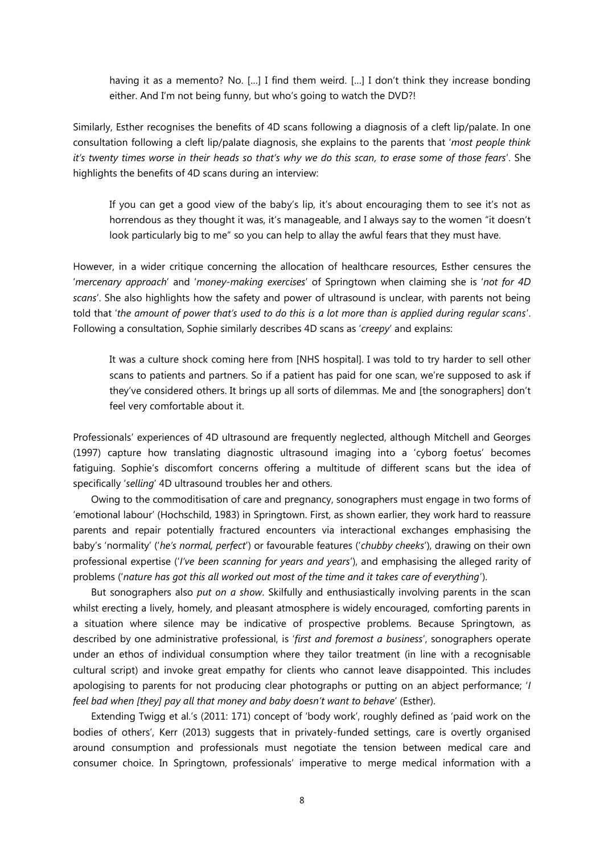having it as a memento? No. [...] I find them weird. [...] I don't think they increase bonding either. And I'm not being funny, but who's going to watch the DVD?!

Similarly, Esther recognises the benefits of 4D scans following a diagnosis of a cleft lip/palate. In one consultation following a cleft lip/palate diagnosis, she explains to the parents that '*most people think it's twenty times worse in their heads so that's why we do this scan, to erase some of those fears*'. She highlights the benefits of 4D scans during an interview:

If you can get a good view of the baby's lip, it's about encouraging them to see it's not as horrendous as they thought it was, it's manageable, and I always say to the women "it doesn't look particularly big to me" so you can help to allay the awful fears that they must have.

However, in a wider critique concerning the allocation of healthcare resources, Esther censures the '*mercenary approach*' and '*money-making exercises*' of Springtown when claiming she is '*not for 4D scans*'. She also highlights how the safety and power of ultrasound is unclear, with parents not being told that '*the amount of power that's used to do this is a lot more than is applied during regular scans*'. Following a consultation, Sophie similarly describes 4D scans as '*creepy*' and explains:

It was a culture shock coming here from [NHS hospital]. I was told to try harder to sell other scans to patients and partners. So if a patient has paid for one scan, we're supposed to ask if they've considered others. It brings up all sorts of dilemmas. Me and [the sonographers] don't feel very comfortable about it.

Professionals' experiences of 4D ultrasound are frequently neglected, although Mitchell and Georges (1997) capture how translating diagnostic ultrasound imaging into a 'cyborg foetus' becomes fatiguing. Sophie's discomfort concerns offering a multitude of different scans but the idea of specifically '*selling*' 4D ultrasound troubles her and others.

Owing to the commoditisation of care and pregnancy, sonographers must engage in two forms of 'emotional labour' (Hochschild, 1983) in Springtown. First, as shown earlier, they work hard to reassure parents and repair potentially fractured encounters via interactional exchanges emphasising the baby's 'normality' ('*he's normal, perfect*') or favourable features ('*chubby cheeks*'), drawing on their own professional expertise ('*I've been scanning for years and years*'), and emphasising the alleged rarity of problems ('*nature has got this all worked out most of the time and it takes care of everything*').

But sonographers also *put on a show*. Skilfully and enthusiastically involving parents in the scan whilst erecting a lively, homely, and pleasant atmosphere is widely encouraged, comforting parents in a situation where silence may be indicative of prospective problems. Because Springtown, as described by one administrative professional, is '*first and foremost a business*', sonographers operate under an ethos of individual consumption where they tailor treatment (in line with a recognisable cultural script) and invoke great empathy for clients who cannot leave disappointed. This includes apologising to parents for not producing clear photographs or putting on an abject performance; '*I feel bad when [they] pay all that money and baby doesn't want to behave*' (Esther).

Extending Twigg et al.'s (2011: 171) concept of 'body work', roughly defined as 'paid work on the bodies of others', Kerr (2013) suggests that in privately-funded settings, care is overtly organised around consumption and professionals must negotiate the tension between medical care and consumer choice. In Springtown, professionals' imperative to merge medical information with a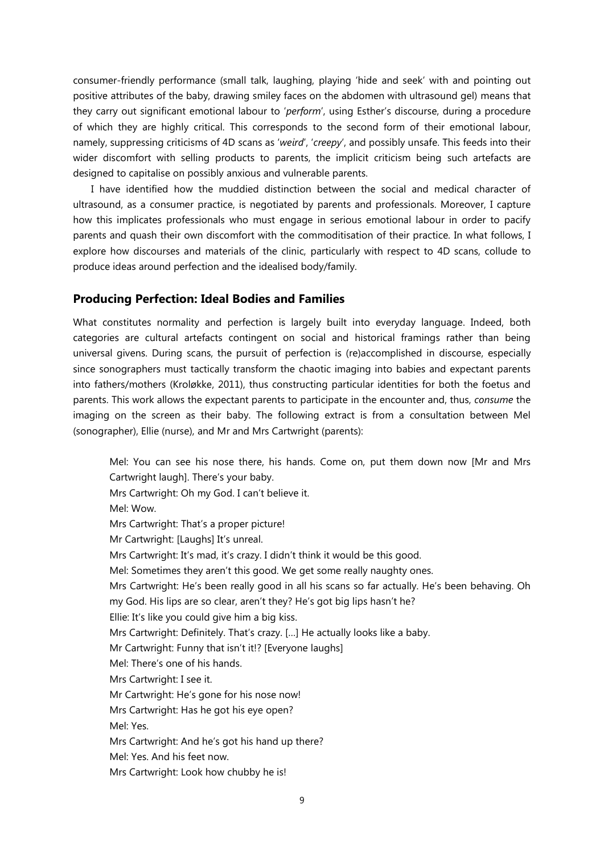consumer-friendly performance (small talk, laughing, playing 'hide and seek' with and pointing out positive attributes of the baby, drawing smiley faces on the abdomen with ultrasound gel) means that they carry out significant emotional labour to '*perform*', using Esther's discourse, during a procedure of which they are highly critical. This corresponds to the second form of their emotional labour, namely, suppressing criticisms of 4D scans as '*weird*', '*creepy*', and possibly unsafe. This feeds into their wider discomfort with selling products to parents, the implicit criticism being such artefacts are designed to capitalise on possibly anxious and vulnerable parents.

I have identified how the muddied distinction between the social and medical character of ultrasound, as a consumer practice, is negotiated by parents and professionals. Moreover, I capture how this implicates professionals who must engage in serious emotional labour in order to pacify parents and quash their own discomfort with the commoditisation of their practice. In what follows, I explore how discourses and materials of the clinic, particularly with respect to 4D scans, collude to produce ideas around perfection and the idealised body/family.

#### **Producing Perfection: Ideal Bodies and Families**

What constitutes normality and perfection is largely built into everyday language. Indeed, both categories are cultural artefacts contingent on social and historical framings rather than being universal givens. During scans, the pursuit of perfection is (re)accomplished in discourse, especially since sonographers must tactically transform the chaotic imaging into babies and expectant parents into fathers/mothers (Kroløkke, 2011), thus constructing particular identities for both the foetus and parents. This work allows the expectant parents to participate in the encounter and, thus, *consume* the imaging on the screen as their baby. The following extract is from a consultation between Mel (sonographer), Ellie (nurse), and Mr and Mrs Cartwright (parents):

Mel: You can see his nose there, his hands. Come on, put them down now [Mr and Mrs Cartwright laugh]. There's your baby. Mrs Cartwright: Oh my God. I can't believe it. Mel: Wow. Mrs Cartwright: That's a proper picture! Mr Cartwright: [Laughs] It's unreal. Mrs Cartwright: It's mad, it's crazy. I didn't think it would be this good. Mel: Sometimes they aren't this good. We get some really naughty ones. Mrs Cartwright: He's been really good in all his scans so far actually. He's been behaving. Oh my God. His lips are so clear, aren't they? He's got big lips hasn't he? Ellie: It's like you could give him a big kiss. Mrs Cartwright: Definitely. That's crazy. […] He actually looks like a baby. Mr Cartwright: Funny that isn't it!? [Everyone laughs] Mel: There's one of his hands. Mrs Cartwright: I see it. Mr Cartwright: He's gone for his nose now! Mrs Cartwright: Has he got his eye open? Mel: Yes. Mrs Cartwright: And he's got his hand up there? Mel: Yes. And his feet now. Mrs Cartwright: Look how chubby he is!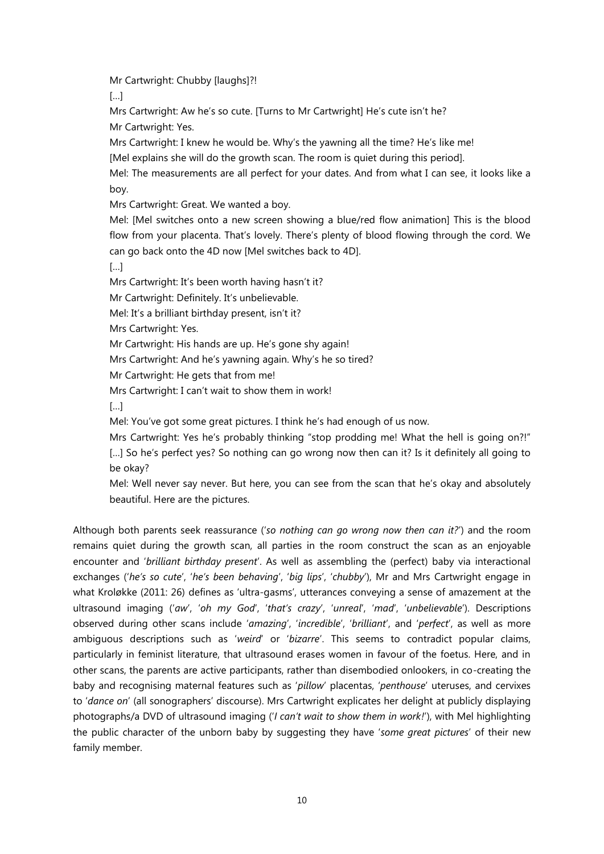Mr Cartwright: Chubby [laughs]?!

[…]

Mrs Cartwright: Aw he's so cute. [Turns to Mr Cartwright] He's cute isn't he? Mr Cartwright: Yes.

Mrs Cartwright: I knew he would be. Why's the yawning all the time? He's like me!

[Mel explains she will do the growth scan. The room is quiet during this period].

Mel: The measurements are all perfect for your dates. And from what I can see, it looks like a boy.

Mrs Cartwright: Great. We wanted a boy.

Mel: [Mel switches onto a new screen showing a blue/red flow animation] This is the blood flow from your placenta. That's lovely. There's plenty of blood flowing through the cord. We can go back onto the 4D now [Mel switches back to 4D].

[…]

Mrs Cartwright: It's been worth having hasn't it?

Mr Cartwright: Definitely. It's unbelievable.

Mel: It's a brilliant birthday present, isn't it?

Mrs Cartwright: Yes.

Mr Cartwright: His hands are up. He's gone shy again!

Mrs Cartwright: And he's yawning again. Why's he so tired?

Mr Cartwright: He gets that from me!

Mrs Cartwright: I can't wait to show them in work!

 $\lceil \dots \rceil$ 

Mel: You've got some great pictures. I think he's had enough of us now.

Mrs Cartwright: Yes he's probably thinking "stop prodding me! What the hell is going on?!" [...] So he's perfect yes? So nothing can go wrong now then can it? Is it definitely all going to be okay?

Mel: Well never say never. But here, you can see from the scan that he's okay and absolutely beautiful. Here are the pictures.

Although both parents seek reassurance ('*so nothing can go wrong now then can it?*') and the room remains quiet during the growth scan, all parties in the room construct the scan as an enjoyable encounter and '*brilliant birthday present*'. As well as assembling the (perfect) baby via interactional exchanges ('*he's so cute*', '*he's been behaving*', '*big lips*', '*chubby*'), Mr and Mrs Cartwright engage in what Kroløkke (2011: 26) defines as 'ultra-gasms', utterances conveying a sense of amazement at the ultrasound imaging ('*aw*', '*oh my God*', '*that's crazy*', '*unreal*', '*mad*', '*unbelievable*'). Descriptions observed during other scans include '*amazing*', '*incredible*', '*brilliant*', and '*perfect*', as well as more ambiguous descriptions such as '*weird*' or '*bizarre*'. This seems to contradict popular claims, particularly in feminist literature, that ultrasound erases women in favour of the foetus. Here, and in other scans, the parents are active participants, rather than disembodied onlookers, in co-creating the baby and recognising maternal features such as '*pillow*' placentas, '*penthouse*' uteruses, and cervixes to '*dance on*' (all sonographers' discourse). Mrs Cartwright explicates her delight at publicly displaying photographs/a DVD of ultrasound imaging ('*I can't wait to show them in work!*'), with Mel highlighting the public character of the unborn baby by suggesting they have '*some great pictures*' of their new family member.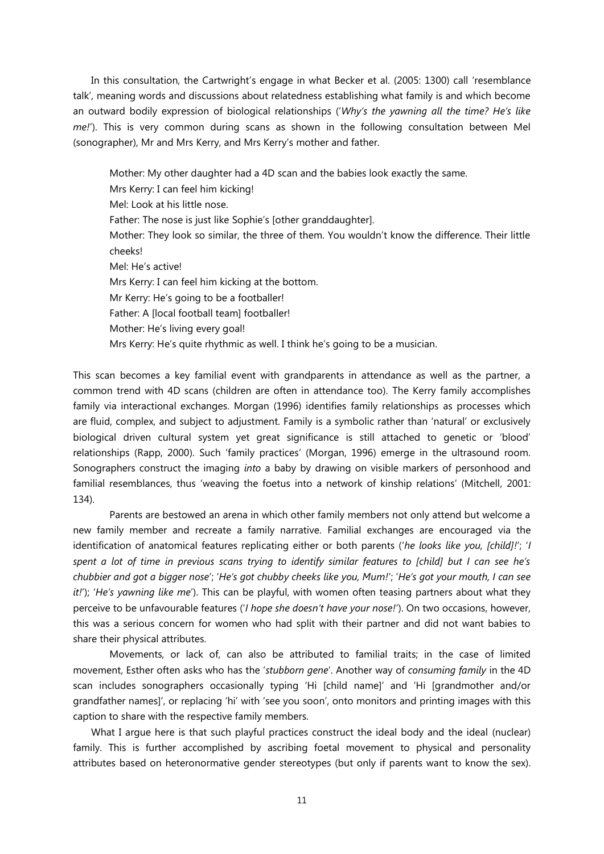In this consultation, the Cartwright's engage in what Becker et al. (2005: 1300) call 'resemblance talk', meaning words and discussions about relatedness establishing what family is and which become an outward bodily expression of biological relationships ('*Why's the yawning all the time? He's like me!*'). This is very common during scans as shown in the following consultation between Mel (sonographer), Mr and Mrs Kerry, and Mrs Kerry's mother and father.

Mother: My other daughter had a 4D scan and the babies look exactly the same. Mrs Kerry: I can feel him kicking! Mel: Look at his little nose. Father: The nose is just like Sophie's [other granddaughter]. Mother: They look so similar, the three of them. You wouldn't know the difference. Their little cheeks! Mel: He's active! Mrs Kerry: I can feel him kicking at the bottom. Mr Kerry: He's going to be a footballer! Father: A [local football team] footballer! Mother: He's living every goal! Mrs Kerry: He's quite rhythmic as well. I think he's going to be a musician.

This scan becomes a key familial event with grandparents in attendance as well as the partner, a common trend with 4D scans (children are often in attendance too). The Kerry family accomplishes family via interactional exchanges. Morgan (1996) identifies family relationships as processes which are fluid, complex, and subject to adjustment. Family is a symbolic rather than 'natural' or exclusively biological driven cultural system yet great significance is still attached to genetic or 'blood' relationships (Rapp, 2000). Such 'family practices' (Morgan, 1996) emerge in the ultrasound room. Sonographers construct the imaging *into* a baby by drawing on visible markers of personhood and familial resemblances, thus 'weaving the foetus into a network of kinship relations' (Mitchell, 2001: 134).

Parents are bestowed an arena in which other family members not only attend but welcome a new family member and recreate a family narrative. Familial exchanges are encouraged via the identification of anatomical features replicating either or both parents ('*he looks like you, [child]!*'; '*I spent a lot of time in previous scans trying to identify similar features to [child] but I can see he's chubbier and got a bigger nose*'; '*He's got chubby cheeks like you, Mum!*'; '*He's got your mouth, I can see it!*'); '*He's yawning like me*'). This can be playful, with women often teasing partners about what they perceive to be unfavourable features ('*I hope she doesn't have your nose!*'). On two occasions, however, this was a serious concern for women who had split with their partner and did not want babies to share their physical attributes.

Movements, or lack of, can also be attributed to familial traits; in the case of limited movement, Esther often asks who has the '*stubborn gene*'. Another way of *consuming family* in the 4D scan includes sonographers occasionally typing 'Hi [child name]' and 'Hi [grandmother and/or grandfather names]', or replacing 'hi' with 'see you soon', onto monitors and printing images with this caption to share with the respective family members.

What I argue here is that such playful practices construct the ideal body and the ideal (nuclear) family. This is further accomplished by ascribing foetal movement to physical and personality attributes based on heteronormative gender stereotypes (but only if parents want to know the sex).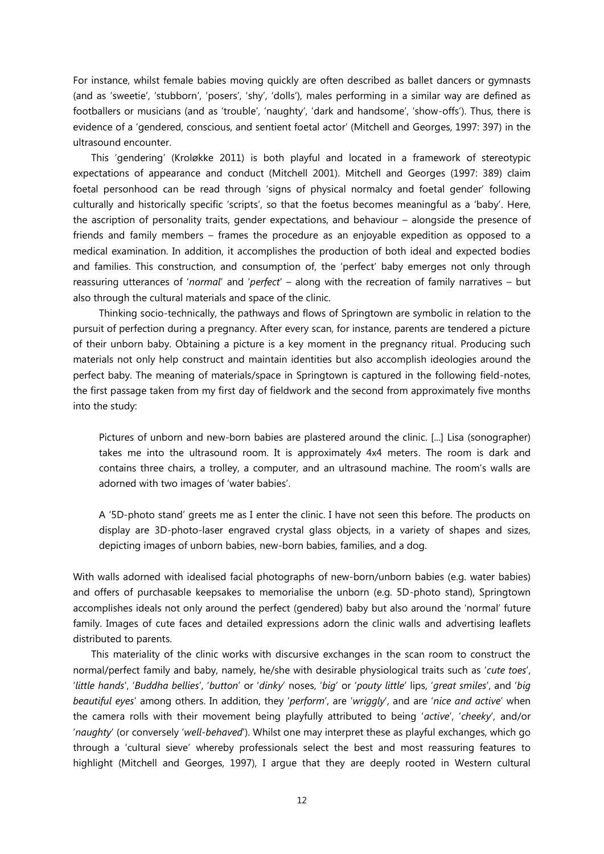For instance, whilst female babies moving quickly are often described as ballet dancers or gymnasts (and as 'sweetie', 'stubborn', 'posers', 'shy', 'dolls'), males performing in a similar way are defined as footballers or musicians (and as 'trouble', 'naughty', 'dark and handsome', 'show-offs'). Thus, there is evidence of a 'gendered, conscious, and sentient foetal actor' (Mitchell and Georges, 1997: 397) in the ultrasound encounter.

This 'gendering' (Kroløkke 2011) is both playful and located in a framework of stereotypic expectations of appearance and conduct (Mitchell 2001). Mitchell and Georges (1997: 389) claim foetal personhood can be read through 'signs of physical normalcy and foetal gender' following culturally and historically specific 'scripts', so that the foetus becomes meaningful as a 'baby'. Here, the ascription of personality traits, gender expectations, and behaviour – alongside the presence of friends and family members – frames the procedure as an enjoyable expedition as opposed to a medical examination. In addition, it accomplishes the production of both ideal and expected bodies and families. This construction, and consumption of, the 'perfect' baby emerges not only through reassuring utterances of '*normal*' and '*perfect*' – along with the recreation of family narratives – but also through the cultural materials and space of the clinic.

Thinking socio-technically, the pathways and flows of Springtown are symbolic in relation to the pursuit of perfection during a pregnancy. After every scan, for instance, parents are tendered a picture of their unborn baby. Obtaining a picture is a key moment in the pregnancy ritual. Producing such materials not only help construct and maintain identities but also accomplish ideologies around the perfect baby. The meaning of materials/space in Springtown is captured in the following field-notes, the first passage taken from my first day of fieldwork and the second from approximately five months into the study:

Pictures of unborn and new-born babies are plastered around the clinic. [...] Lisa (sonographer) takes me into the ultrasound room. It is approximately 4x4 meters. The room is dark and contains three chairs, a trolley, a computer, and an ultrasound machine. The room's walls are adorned with two images of 'water babies'.

A '5D-photo stand' greets me as I enter the clinic. I have not seen this before. The products on display are 3D-photo-laser engraved crystal glass objects, in a variety of shapes and sizes, depicting images of unborn babies, new-born babies, families, and a dog.

With walls adorned with idealised facial photographs of new-born/unborn babies (e.g. water babies) and offers of purchasable keepsakes to memorialise the unborn (e.g. 5D-photo stand), Springtown accomplishes ideals not only around the perfect (gendered) baby but also around the 'normal' future family. Images of cute faces and detailed expressions adorn the clinic walls and advertising leaflets distributed to parents.

This materiality of the clinic works with discursive exchanges in the scan room to construct the normal/perfect family and baby, namely, he/she with desirable physiological traits such as '*cute toes*', '*little hands*', '*Buddha bellies*', '*button*' or '*dinky*' noses, '*big*' or '*pouty little*' lips, '*great smiles*', and '*big beautiful eyes*' among others. In addition, they '*perform*', are '*wriggly*', and are '*nice and active*' when the camera rolls with their movement being playfully attributed to being '*active*', '*cheeky*', and/or '*naughty*' (or conversely '*well-behaved*'). Whilst one may interpret these as playful exchanges, which go through a 'cultural sieve' whereby professionals select the best and most reassuring features to highlight (Mitchell and Georges, 1997), I argue that they are deeply rooted in Western cultural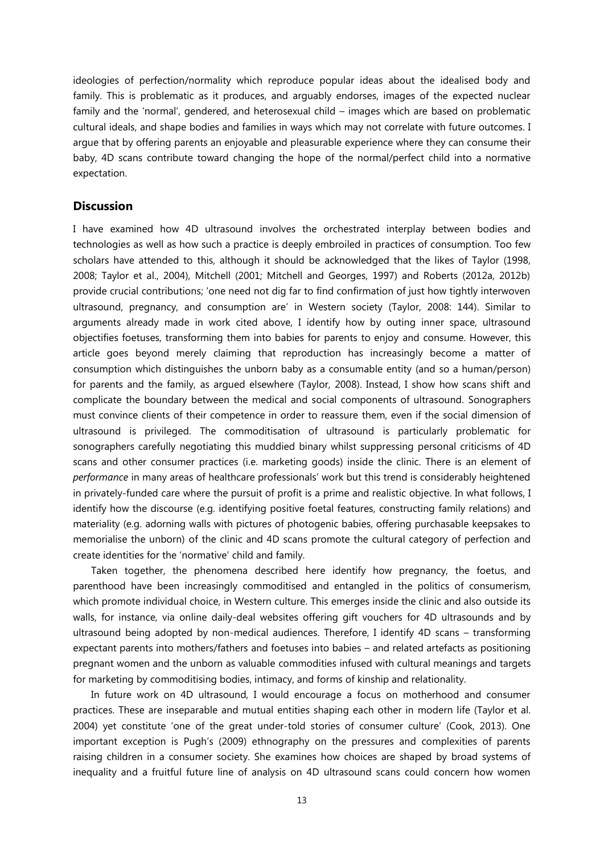ideologies of perfection/normality which reproduce popular ideas about the idealised body and family. This is problematic as it produces, and arguably endorses, images of the expected nuclear family and the 'normal', gendered, and heterosexual child – images which are based on problematic cultural ideals, and shape bodies and families in ways which may not correlate with future outcomes. I argue that by offering parents an enjoyable and pleasurable experience where they can consume their baby, 4D scans contribute toward changing the hope of the normal/perfect child into a normative expectation.

#### **Discussion**

I have examined how 4D ultrasound involves the orchestrated interplay between bodies and technologies as well as how such a practice is deeply embroiled in practices of consumption. Too few scholars have attended to this, although it should be acknowledged that the likes of Taylor (1998, 2008; Taylor et al., 2004), Mitchell (2001; Mitchell and Georges, 1997) and Roberts (2012a, 2012b) provide crucial contributions; 'one need not dig far to find confirmation of just how tightly interwoven ultrasound, pregnancy, and consumption are' in Western society (Taylor, 2008: 144). Similar to arguments already made in work cited above, I identify how by outing inner space, ultrasound objectifies foetuses, transforming them into babies for parents to enjoy and consume. However, this article goes beyond merely claiming that reproduction has increasingly become a matter of consumption which distinguishes the unborn baby as a consumable entity (and so a human/person) for parents and the family, as argued elsewhere (Taylor, 2008). Instead, I show how scans shift and complicate the boundary between the medical and social components of ultrasound. Sonographers must convince clients of their competence in order to reassure them, even if the social dimension of ultrasound is privileged. The commoditisation of ultrasound is particularly problematic for sonographers carefully negotiating this muddied binary whilst suppressing personal criticisms of 4D scans and other consumer practices (i.e. marketing goods) inside the clinic. There is an element of *performance* in many areas of healthcare professionals' work but this trend is considerably heightened in privately-funded care where the pursuit of profit is a prime and realistic objective. In what follows, I identify how the discourse (e.g. identifying positive foetal features, constructing family relations) and materiality (e.g. adorning walls with pictures of photogenic babies, offering purchasable keepsakes to memorialise the unborn) of the clinic and 4D scans promote the cultural category of perfection and create identities for the 'normative' child and family.

Taken together, the phenomena described here identify how pregnancy, the foetus, and parenthood have been increasingly commoditised and entangled in the politics of consumerism, which promote individual choice, in Western culture. This emerges inside the clinic and also outside its walls, for instance, via online daily-deal websites offering gift vouchers for 4D ultrasounds and by ultrasound being adopted by non-medical audiences. Therefore, I identify 4D scans – transforming expectant parents into mothers/fathers and foetuses into babies – and related artefacts as positioning pregnant women and the unborn as valuable commodities infused with cultural meanings and targets for marketing by commoditising bodies, intimacy, and forms of kinship and relationality.

In future work on 4D ultrasound, I would encourage a focus on motherhood and consumer practices. These are inseparable and mutual entities shaping each other in modern life (Taylor et al. 2004) yet constitute 'one of the great under-told stories of consumer culture' (Cook, 2013). One important exception is Pugh's (2009) ethnography on the pressures and complexities of parents raising children in a consumer society. She examines how choices are shaped by broad systems of inequality and a fruitful future line of analysis on 4D ultrasound scans could concern how women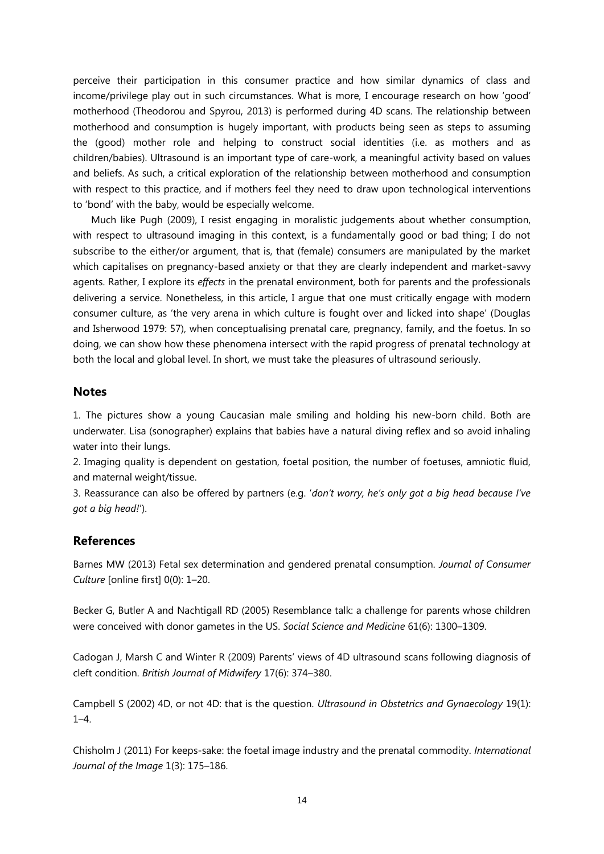perceive their participation in this consumer practice and how similar dynamics of class and income/privilege play out in such circumstances. What is more, I encourage research on how 'good' motherhood (Theodorou and Spyrou, 2013) is performed during 4D scans. The relationship between motherhood and consumption is hugely important, with products being seen as steps to assuming the (good) mother role and helping to construct social identities (i.e. as mothers and as children/babies). Ultrasound is an important type of care-work, a meaningful activity based on values and beliefs. As such, a critical exploration of the relationship between motherhood and consumption with respect to this practice, and if mothers feel they need to draw upon technological interventions to 'bond' with the baby, would be especially welcome.

Much like Pugh (2009), I resist engaging in moralistic judgements about whether consumption, with respect to ultrasound imaging in this context, is a fundamentally good or bad thing; I do not subscribe to the either/or argument, that is, that (female) consumers are manipulated by the market which capitalises on pregnancy-based anxiety or that they are clearly independent and market-savvy agents. Rather, I explore its *effects* in the prenatal environment, both for parents and the professionals delivering a service. Nonetheless, in this article, I argue that one must critically engage with modern consumer culture, as 'the very arena in which culture is fought over and licked into shape' (Douglas and Isherwood 1979: 57), when conceptualising prenatal care, pregnancy, family, and the foetus. In so doing, we can show how these phenomena intersect with the rapid progress of prenatal technology at both the local and global level. In short, we must take the pleasures of ultrasound seriously.

#### **Notes**

1. The pictures show a young Caucasian male smiling and holding his new-born child. Both are underwater. Lisa (sonographer) explains that babies have a natural diving reflex and so avoid inhaling water into their lungs.

2. Imaging quality is dependent on gestation, foetal position, the number of foetuses, amniotic fluid, and maternal weight/tissue.

3. Reassurance can also be offered by partners (e.g. '*don't worry, he's only got a big head because I've got a big head!*').

#### **References**

Barnes MW (2013) Fetal sex determination and gendered prenatal consumption. *Journal of Consumer Culture* [online first] 0(0): 1–20.

Becker G, Butler A and Nachtigall RD (2005) Resemblance talk: a challenge for parents whose children were conceived with donor gametes in the US. *Social Science and Medicine* 61(6): 1300–1309.

Cadogan J, Marsh C and Winter R (2009) Parents' views of 4D ultrasound scans following diagnosis of cleft condition. *British Journal of Midwifery* 17(6): 374–380.

Campbell S (2002) 4D, or not 4D: that is the question. *Ultrasound in Obstetrics and Gynaecology* 19(1): 1–4.

Chisholm J (2011) For keeps-sake: the foetal image industry and the prenatal commodity. *International Journal of the Image* 1(3): 175–186.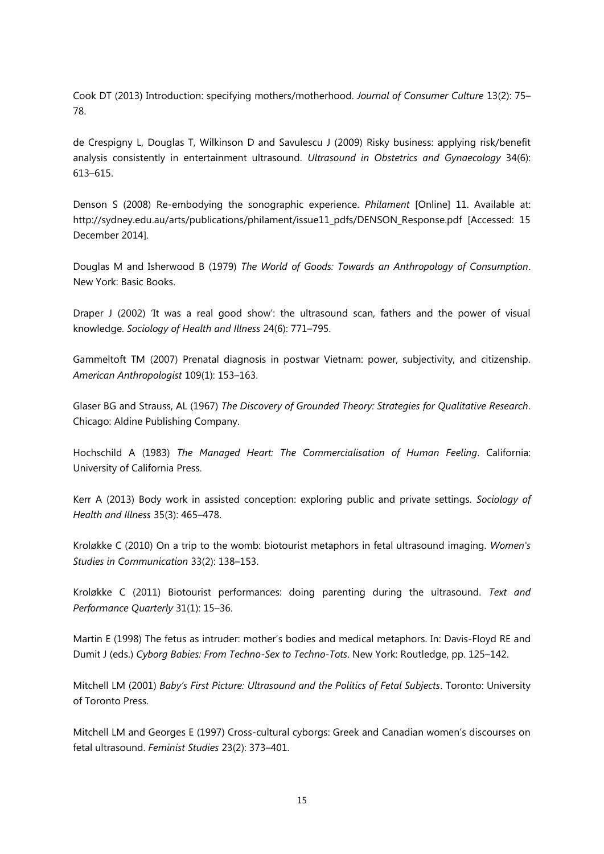Cook DT (2013) Introduction: specifying mothers/motherhood. *Journal of Consumer Culture* 13(2): 75– 78.

de Crespigny L, Douglas T, Wilkinson D and Savulescu J (2009) Risky business: applying risk/benefit analysis consistently in entertainment ultrasound. *Ultrasound in Obstetrics and Gynaecology* 34(6): 613–615.

Denson S (2008) Re-embodying the sonographic experience. *Philament* [Online] 11. Available at: http://sydney.edu.au/arts/publications/philament/issue11\_pdfs/DENSON\_Response.pdf [Accessed: 15 December 2014].

Douglas M and Isherwood B (1979) *The World of Goods: Towards an Anthropology of Consumption*. New York: Basic Books.

Draper J (2002) 'It was a real good show': the ultrasound scan, fathers and the power of visual knowledge. *Sociology of Health and Illness* 24(6): 771–795.

Gammeltoft TM (2007) Prenatal diagnosis in postwar Vietnam: power, subjectivity, and citizenship. *American Anthropologist* 109(1): 153–163.

Glaser BG and Strauss, AL (1967) *The Discovery of Grounded Theory: Strategies for Qualitative Research*. Chicago: Aldine Publishing Company.

Hochschild A (1983) *The Managed Heart: The Commercialisation of Human Feeling*. California: University of California Press.

Kerr A (2013) Body work in assisted conception: exploring public and private settings. *Sociology of Health and Illness* 35(3): 465–478.

Kroløkke C (2010) On a trip to the womb: biotourist metaphors in fetal ultrasound imaging. *Women's Studies in Communication* 33(2): 138–153.

Kroløkke C (2011) Biotourist performances: doing parenting during the ultrasound. *Text and Performance Quarterly* 31(1): 15–36.

Martin E (1998) The fetus as intruder: mother's bodies and medical metaphors. In: Davis-Floyd RE and Dumit J (eds.) *Cyborg Babies: From Techno-Sex to Techno-Tots*. New York: Routledge, pp. 125–142.

Mitchell LM (2001) *Baby's First Picture: Ultrasound and the Politics of Fetal Subjects*. Toronto: University of Toronto Press.

Mitchell LM and Georges E (1997) Cross-cultural cyborgs: Greek and Canadian women's discourses on fetal ultrasound. *Feminist Studies* 23(2): 373–401.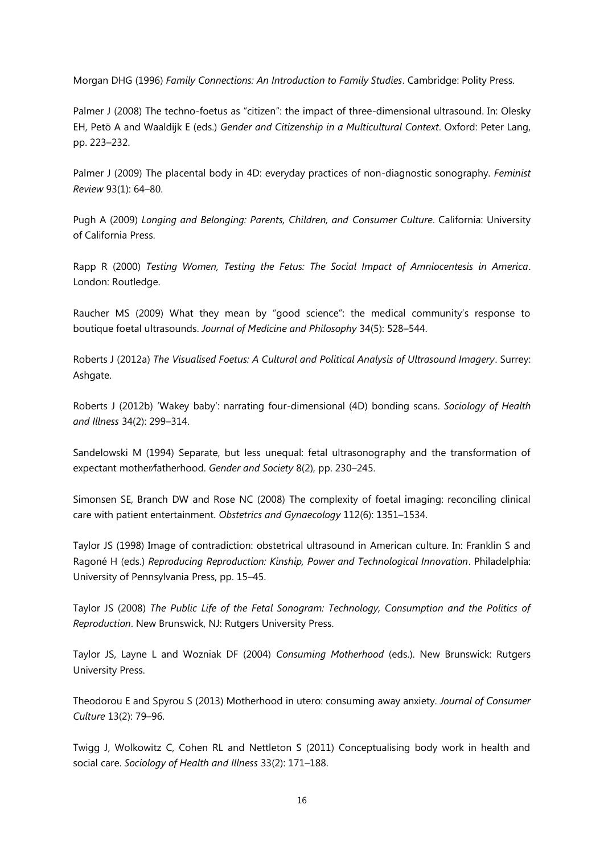Morgan DHG (1996) *Family Connections: An Introduction to Family Studies*. Cambridge: Polity Press.

Palmer J (2008) The techno-foetus as "citizen": the impact of three-dimensional ultrasound. In: Olesky EH, Petö A and Waaldijk E (eds.) *Gender and Citizenship in a Multicultural Context*. Oxford: Peter Lang, pp. 223–232.

Palmer J (2009) The placental body in 4D: everyday practices of non-diagnostic sonography. *Feminist Review* 93(1): 64–80.

Pugh A (2009) *Longing and Belonging: Parents, Children, and Consumer Culture*. California: University of California Press.

Rapp R (2000) *Testing Women, Testing the Fetus: The Social Impact of Amniocentesis in America*. London: Routledge.

Raucher MS (2009) What they mean by "good science": the medical community's response to boutique foetal ultrasounds. *Journal of Medicine and Philosophy* 34(5): 528–544.

Roberts J (2012a) *The Visualised Foetus: A Cultural and Political Analysis of Ultrasound Imagery*. Surrey: Ashgate.

Roberts J (2012b) 'Wakey baby': narrating four-dimensional (4D) bonding scans. *Sociology of Health and Illness* 34(2): 299–314.

Sandelowski M (1994) Separate, but less unequal: fetal ultrasonography and the transformation of expectant mother⁄fatherhood. *Gender and Society* 8(2), pp. 230–245.

Simonsen SE, Branch DW and Rose NC (2008) The complexity of foetal imaging: reconciling clinical care with patient entertainment. *Obstetrics and Gynaecology* 112(6): 1351–1534.

Taylor JS (1998) Image of contradiction: obstetrical ultrasound in American culture. In: Franklin S and Ragoné H (eds.) *Reproducing Reproduction: Kinship, Power and Technological Innovation*. Philadelphia: University of Pennsylvania Press, pp. 15–45.

Taylor JS (2008) *The Public Life of the Fetal Sonogram: Technology, Consumption and the Politics of Reproduction*. New Brunswick, NJ: Rutgers University Press.

Taylor JS, Layne L and Wozniak DF (2004) *Consuming Motherhood* (eds.). New Brunswick: Rutgers University Press.

Theodorou E and Spyrou S (2013) Motherhood in utero: consuming away anxiety. *Journal of Consumer Culture* 13(2): 79–96.

Twigg J, Wolkowitz C, Cohen RL and Nettleton S (2011) Conceptualising body work in health and social care. *Sociology of Health and Illness* 33(2): 171–188.